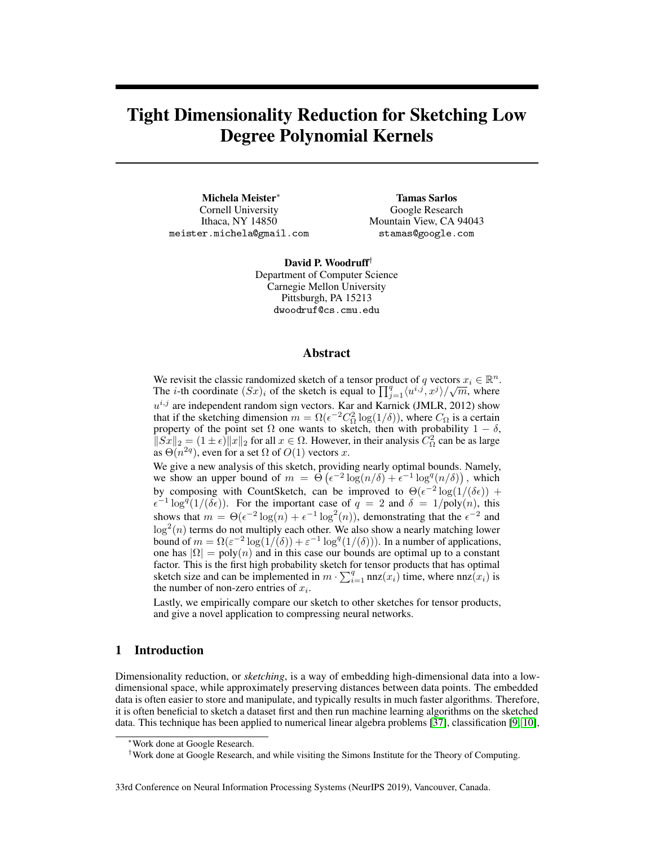# Tight Dimensionality Reduction for Sketching Low Degree Polynomial Kernels

Michela Meister<sup>∗</sup> Cornell University Ithaca, NY 14850 meister.michela@gmail.com

Tamas Sarlos Google Research Mountain View, CA 94043 stamas@google.com

David P. Woodruff† Department of Computer Science Carnegie Mellon University Pittsburgh, PA 15213 dwoodruf@cs.cmu.edu

## Abstract

We revisit the classic randomized sketch of a tensor product of q vectors  $x_i \in \mathbb{R}^n$ . The *i*-th coordinate  $(Sx)_i$  of the sketch is equal to  $\prod_{j=1}^q \langle u^{i,j}, x^j \rangle / \sqrt{m}$ , where  $u^{i,j}$  are independent random sign vectors. Kar and Karnick (JMLR, 2012) show that if the sketching dimension  $m = \Omega(\epsilon^{-2} C_{\Omega}^2 \log(1/\delta))$ , where  $C_{\Omega}$  is a certain property of the point set  $\Omega$  one wants to sketch, then with probability  $1 - \delta$ ,  $||S_x||_2 = (1 \pm \epsilon) ||x||_2$  for all  $x \in \Omega$ . However, in their analysis  $C_{\Omega}^2$  can be as large as  $\Theta(n^{2q})$ , even for a set  $\Omega$  of  $O(1)$  vectors x.

We give a new analysis of this sketch, providing nearly optimal bounds. Namely, we show an upper bound of  $m = \Theta\left(\epsilon^{-2}\log(n/\delta) + \epsilon^{-1}\log^q(n/\delta)\right)$ , which by composing with CountSketch, can be improved to  $\Theta(\epsilon^{-2} \log(1/(\delta \epsilon))$  +  $\epsilon^{-1} \log^{q}(1/(\delta \epsilon))$ . For the important case of  $q = 2$  and  $\delta = 1/\text{poly}(n)$ , this shows that  $m = \Theta(\epsilon^{-2} \log(n) + \epsilon^{-1} \log^2(n))$ , demonstrating that the  $\epsilon^{-2}$  and  $\log^2(n)$  terms do not multiply each other. We also show a nearly matching lower bound of  $m = \Omega(\varepsilon^{-2} \log(1/(\delta)) + \varepsilon^{-1} \log^{q}(1/(\delta)))$ . In a number of applications, one has  $|\Omega| = \text{poly}(n)$  and in this case our bounds are optimal up to a constant factor. This is the first high probability sketch for tensor products that has optimal sketch size and can be implemented in  $m \cdot \sum_{i=1}^{q} \text{nnz}(x_i)$  time, where  $\text{nnz}(x_i)$  is the number of non-zero entries of  $x_i$ .

Lastly, we empirically compare our sketch to other sketches for tensor products, and give a novel application to compressing neural networks.

## 1 Introduction

Dimensionality reduction, or *sketching*, is a way of embedding high-dimensional data into a lowdimensional space, while approximately preserving distances between data points. The embedded data is often easier to store and manipulate, and typically results in much faster algorithms. Therefore, it is often beneficial to sketch a dataset first and then run machine learning algorithms on the sketched data. This technique has been applied to numerical linear algebra problems [\[37\]](#page-11-0), classification [\[9,](#page-9-0) [10\]](#page-9-1),

Work done at Google Research.

<sup>†</sup>Work done at Google Research, and while visiting the Simons Institute for the Theory of Computing.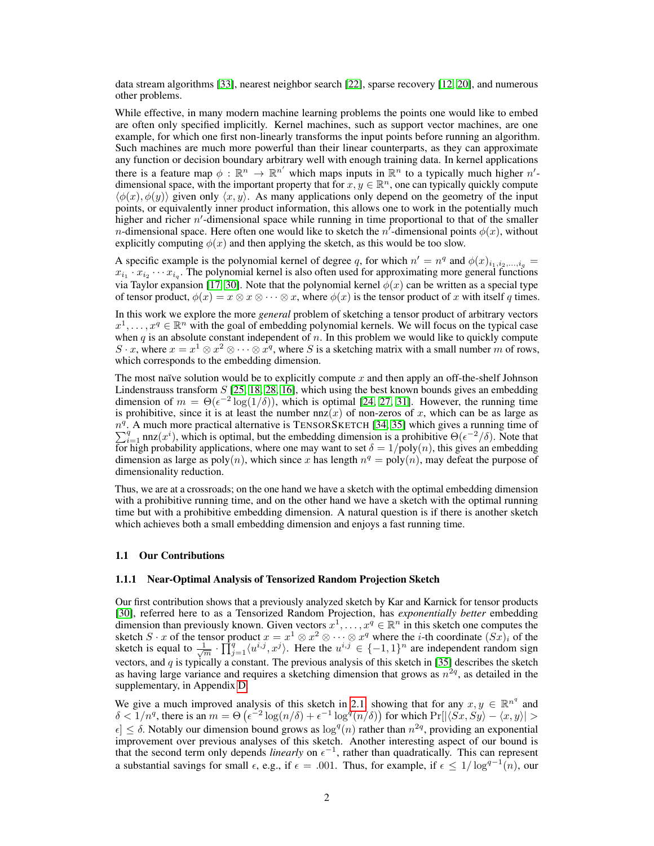data stream algorithms [\[33\]](#page-10-0), nearest neighbor search [\[22\]](#page-10-1), sparse recovery [\[12,](#page-9-2) [20\]](#page-10-2), and numerous other problems.

While effective, in many modern machine learning problems the points one would like to embed are often only specified implicitly. Kernel machines, such as support vector machines, are one example, for which one first non-linearly transforms the input points before running an algorithm. Such machines are much more powerful than their linear counterparts, as they can approximate any function or decision boundary arbitrary well with enough training data. In kernel applications there is a feature map  $\phi : \mathbb{R}^n \to \mathbb{R}^{n'}$  which maps inputs in  $\mathbb{R}^n$  to a typically much higher  $n'$ dimensional space, with the important property that for  $x, y \in \mathbb{R}^n$ , one can typically quickly compute  $\langle \phi(x), \phi(y) \rangle$  given only  $\langle x, y \rangle$ . As many applications only depend on the geometry of the input points, or equivalently inner product information, this allows one to work in the potentially much higher and richer  $n'$ -dimensional space while running in time proportional to that of the smaller *n*-dimensional space. Here often one would like to sketch the *n*<sup> $\ell$ </sup>-dimensional points  $\phi(x)$ , without explicitly computing  $\phi(x)$  and then applying the sketch, as this would be too slow.

A specific example is the polynomial kernel of degree q, for which  $n' = n^q$  and  $\phi(x)_{i_1, i_2, ..., i_q}$  $x_{i_1} \cdot x_{i_2} \cdots x_{i_q}$ . The polynomial kernel is also often used for approximating more general functions via Taylor expansion [\[17,](#page-10-3) [30\]](#page-10-4). Note that the polynomial kernel  $\phi(x)$  can be written as a special type of tensor product,  $\phi(x) = x \otimes x \otimes \cdots \otimes x$ , where  $\phi(x)$  is the tensor product of x with itself q times.

In this work we explore the more *general* problem of sketching a tensor product of arbitrary vectors  $x^1, \ldots, x^q \in \mathbb{R}^n$  with the goal of embedding polynomial kernels. We will focus on the typical case when  $q$  is an absolute constant independent of  $n$ . In this problem we would like to quickly compute S · x, where  $x = x^1 \otimes x^2 \otimes \cdots \otimes x^q$ , where S is a sketching matrix with a small number m of rows, which corresponds to the embedding dimension.

The most naïve solution would be to explicitly compute x and then apply an off-the-shelf Johnson Lindenstrauss transform  $S$  [\[25,](#page-10-5) [18,](#page-10-6) [28,](#page-10-7) [16\]](#page-10-8), which using the best known bounds gives an embedding dimension of  $m = \Theta(\epsilon^{-2} \log(1/\delta))$ , which is optimal [\[24,](#page-10-9) [27,](#page-10-10) [31\]](#page-10-11). However, the running time is prohibitive, since it is at least the number  $nnz(x)$  of non-zeros of x, which can be as large as  $n^{q}$ . A much more practical alternative is TENSORSKETCH [\[34,](#page-10-12) [35\]](#page-11-1) which gives a running time of  $\sum_{i=1}^q$  nnz $(x^i)$ , which is optimal, but the embedding dimension is a prohibitive  $\Theta(\epsilon^{-2}/\delta)$ . Note that for high probability applications, where one may want to set  $\delta = 1/poly(n)$ , this gives an embedding dimension as large as  $poly(n)$ , which since x has length  $n^q = poly(n)$ , may defeat the purpose of dimensionality reduction.

Thus, we are at a crossroads; on the one hand we have a sketch with the optimal embedding dimension with a prohibitive running time, and on the other hand we have a sketch with the optimal running time but with a prohibitive embedding dimension. A natural question is if there is another sketch which achieves both a small embedding dimension and enjoys a fast running time.

#### 1.1 Our Contributions

#### 1.1.1 Near-Optimal Analysis of Tensorized Random Projection Sketch

Our first contribution shows that a previously analyzed sketch by Kar and Karnick for tensor products [\[30\]](#page-10-4), referred here to as a Tensorized Random Projection, has *exponentially better* embedding dimension than previously known. Given vectors  $x^1, \ldots, x^q \in \mathbb{R}^n$  in this sketch one computes the sketch  $S \cdot x$  of the tensor product  $x = x^1 \otimes x^2 \otimes \cdots \otimes x^q$  where the *i*-th coordinate  $(Sx)_i$  of the sketch is equal to  $\frac{1}{\sqrt{m}} \cdot \prod_{j=1}^{q} \langle u^{i,j}, x^j \rangle$ . Here the  $u^{i,j} \in \{-1,1\}^n$  are independent random sign vectors, and q is typically a constant. The previous analysis of this sketch in [\[35\]](#page-11-1) describes the sketch as having large variance and requires a sketching dimension that grows as  $n^{2q}$ , as detailed in the supplementary, in Appendix [D.](#page--1-0)

We give a much improved analysis of this sketch in [2.1,](#page-4-0) showing that for any  $x, y \in \mathbb{R}^{n^q}$  and  $\delta < 1/n^q$ , there is an  $m = \Theta\left(\epsilon^{-2}\log(n/\delta) + \epsilon^{-1}\log^q(n/\delta)\right)$  for which  $Pr[|\langle S_x, S_y \rangle - \langle x, y \rangle] >$  $\epsilon$   $\leq$   $\delta$ . Notably our dimension bound grows as  $\log^{q}(n)$  rather than  $n^{2q}$ , providing an exponential improvement over previous analyses of this sketch. Another interesting aspect of our bound is that the second term only depends *linearly* on  $\epsilon^{-1}$ , rather than quadratically. This can represent a substantial savings for small  $\epsilon$ , e.g., if  $\epsilon = .001$ . Thus, for example, if  $\epsilon \leq 1/\log^{q-1}(n)$ , our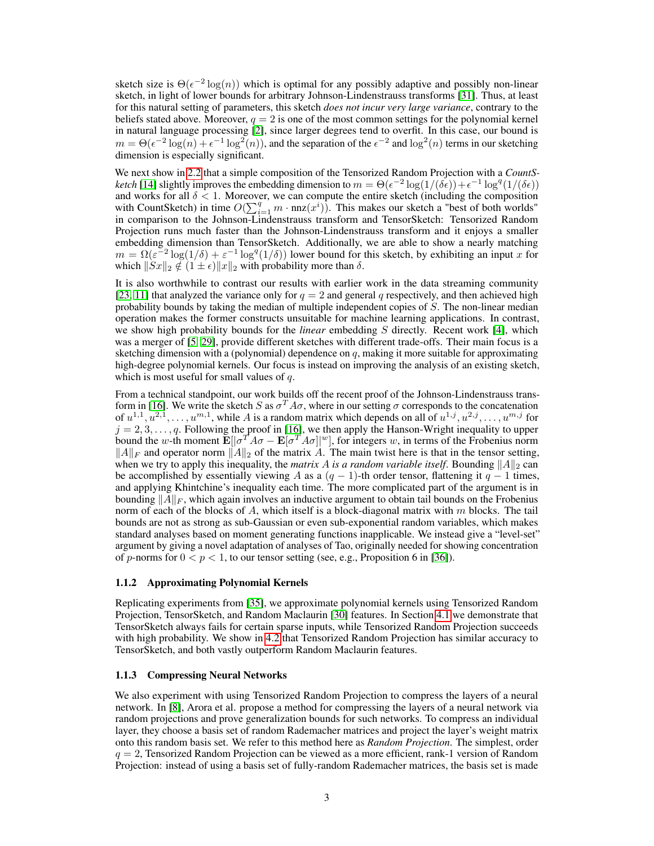sketch size is  $\Theta(\epsilon^{-2} \log(n))$  which is optimal for any possibly adaptive and possibly non-linear sketch, in light of lower bounds for arbitrary Johnson-Lindenstrauss transforms [\[31\]](#page-10-11). Thus, at least for this natural setting of parameters, this sketch *does not incur very large variance*, contrary to the beliefs stated above. Moreover,  $q = 2$  is one of the most common settings for the polynomial kernel in natural language processing [\[2\]](#page-9-3), since larger degrees tend to overfit. In this case, our bound is  $m = \Theta(\epsilon^{-2} \log(n) + \epsilon^{-1} \log^2(n))$ , and the separation of the  $\epsilon^{-2}$  and  $\log^2(n)$  terms in our sketching dimension is especially significant.

We next show in [2.2](#page-5-0) that a simple composition of the Tensorized Random Projection with a *CountSketch* [\[14\]](#page-9-4) slightly improves the embedding dimension to  $m = \Theta(\epsilon^{-2} \log(1/(\delta \epsilon)) + \epsilon^{-1} \log^q(1/(\delta \epsilon))$ and works for all  $\delta$  < 1. Moreover, we can compute the entire sketch (including the composition with CountSketch) in time  $O(\sum_{i=1}^{q} m \cdot \text{nnz}(x^i))$ . This makes our sketch a "best of both worlds" in comparison to the Johnson-Lindenstrauss transform and TensorSketch: Tensorized Random Projection runs much faster than the Johnson-Lindenstrauss transform and it enjoys a smaller embedding dimension than TensorSketch. Additionally, we are able to show a nearly matching  $m = \Omega(\varepsilon^{-2} \log(1/\delta) + \varepsilon^{-1} \log^{q}(1/\delta))$  lower bound for this sketch, by exhibiting an input x for which  $||Sx||_2 \notin (1 \pm \epsilon) ||x||_2$  with probability more than  $\delta$ .

It is also worthwhile to contrast our results with earlier work in the data streaming community [\[23,](#page-10-13) [11\]](#page-9-5) that analyzed the variance only for  $q = 2$  and general q respectively, and then achieved high probability bounds by taking the median of multiple independent copies of  $S$ . The non-linear median operation makes the former constructs unsuitable for machine learning applications. In contrast, we show high probability bounds for the *linear* embedding S directly. Recent work [\[4\]](#page-9-6), which was a merger of [\[5,](#page-9-7) [29\]](#page-10-14), provide different sketches with different trade-offs. Their main focus is a sketching dimension with a (polynomial) dependence on  $q$ , making it more suitable for approximating high-degree polynomial kernels. Our focus is instead on improving the analysis of an existing sketch, which is most useful for small values of  $q$ .

From a technical standpoint, our work builds off the recent proof of the Johnson-Lindenstrauss trans-form in [\[16\]](#page-10-8). We write the sketch S as  $\sigma^T A \sigma$ , where in our setting  $\sigma$  corresponds to the concatenation of  $u^{1,1}, u^{2,1}, \ldots, u^{m,1}$ , while A is a random matrix which depends on all of  $u^{1,j}, u^{2,j}, \ldots, u^{m,j}$  for  $j = 2, 3, \dots, q$ . Following the proof in [\[16\]](#page-10-8), we then apply the Hanson-Wright inequality to upper bound the w-th moment  $\mathbf{E}[\sigma^T A \sigma - \mathbf{E}[\sigma^T A \sigma]]^w$ , for integers w, in terms of the Frobenius norm  $||A||_F$  and operator norm  $||A||_2$  of the matrix A. The main twist here is that in the tensor setting, when we try to apply this inequality, the *matrix* A *is a random variable itself*. Bounding  $||A||_2$  can be accomplished by essentially viewing A as a  $(q - 1)$ -th order tensor, flattening it  $q - 1$  times, and applying Khintchine's inequality each time. The more complicated part of the argument is in bounding  $||A||_F$ , which again involves an inductive argument to obtain tail bounds on the Frobenius norm of each of the blocks of  $A$ , which itself is a block-diagonal matrix with  $m$  blocks. The tail bounds are not as strong as sub-Gaussian or even sub-exponential random variables, which makes standard analyses based on moment generating functions inapplicable. We instead give a "level-set" argument by giving a novel adaptation of analyses of Tao, originally needed for showing concentration of p-norms for  $0 < p < 1$ , to our tensor setting (see, e.g., Proposition 6 in [\[36\]](#page-11-2)).

#### 1.1.2 Approximating Polynomial Kernels

Replicating experiments from [\[35\]](#page-11-1), we approximate polynomial kernels using Tensorized Random Projection, TensorSketch, and Random Maclaurin [\[30\]](#page-10-4) features. In Section [4.1](#page-6-0) we demonstrate that TensorSketch always fails for certain sparse inputs, while Tensorized Random Projection succeeds with high probability. We show in [4.2](#page-7-0) that Tensorized Random Projection has similar accuracy to TensorSketch, and both vastly outperform Random Maclaurin features.

#### 1.1.3 Compressing Neural Networks

We also experiment with using Tensorized Random Projection to compress the layers of a neural network. In [\[8\]](#page-9-8), Arora et al. propose a method for compressing the layers of a neural network via random projections and prove generalization bounds for such networks. To compress an individual layer, they choose a basis set of random Rademacher matrices and project the layer's weight matrix onto this random basis set. We refer to this method here as *Random Projection*. The simplest, order  $q = 2$ , Tensorized Random Projection can be viewed as a more efficient, rank-1 version of Random Projection: instead of using a basis set of fully-random Rademacher matrices, the basis set is made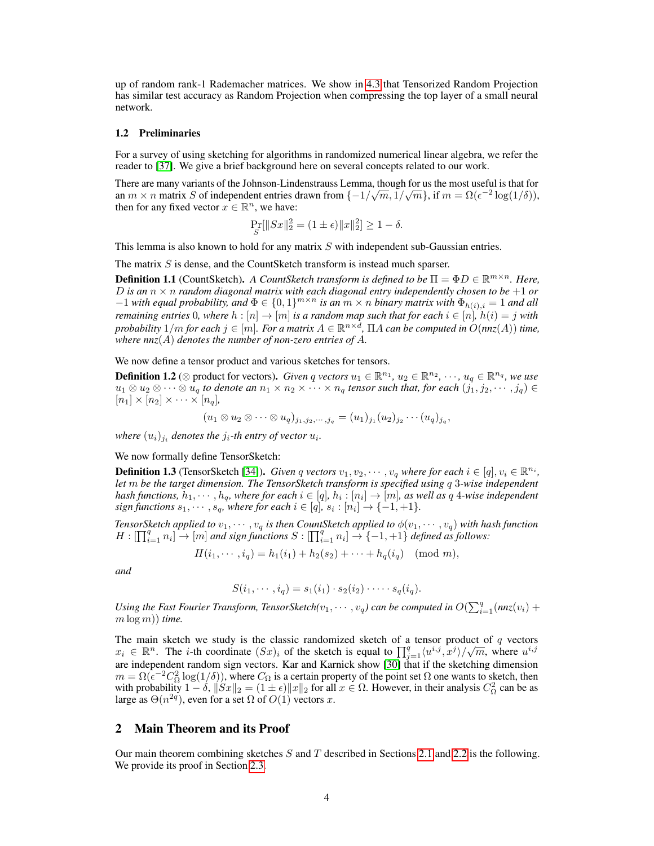up of random rank-1 Rademacher matrices. We show in [4.3](#page-7-1) that Tensorized Random Projection has similar test accuracy as Random Projection when compressing the top layer of a small neural network.

#### 1.2 Preliminaries

For a survey of using sketching for algorithms in randomized numerical linear algebra, we refer the reader to [\[37\]](#page-11-0). We give a brief background here on several concepts related to our work.

There are many variants of the Johnson-Lindenstrauss Lemma, though for us the most useful is that for an  $m \times n$  matrix S of independent entries drawn from  $\{-1/\sqrt{m}, 1/\sqrt{m}\}$ , if  $m = \Omega(\epsilon^{-2} \log(1/\delta))$ , then for any fixed vector  $x \in \mathbb{R}^n$ , we have:

$$
\Pr_{S}[\|Sx\|_2^2 = (1 \pm \epsilon) \|x\|_2^2] \ge 1 - \delta.
$$

This lemma is also known to hold for any matrix S with independent sub-Gaussian entries.

The matrix S is dense, and the CountSketch transform is instead much sparser.

**Definition 1.1** (CountSketch). A CountSketch transform is defined to be  $\Pi = \Phi D \in \mathbb{R}^{m \times n}$ . Here, D is an  $n \times n$  *random diagonal matrix with each diagonal entry independently chosen to be*  $+1$  *or*  $-1$  *with equal probability, and*  $\Phi \in \{0,1\}^{m \times n}$  *is an*  $m \times n$  *binary matrix with*  $\Phi_{h(i),i} = 1$  *and all remaining entries* 0*, where*  $h : [n] \to [m]$  *is a random map such that for each*  $i \in [n]$ *,*  $h(i) = j$  *with probability*  $1/m$  *for each*  $j \in [m]$ *. For a matrix*  $A \in \mathbb{R}^{n \times d}$ ,  $\Pi A$  *can be computed in*  $O(nnz(A))$  *time,* where  $nnz(A)$  *denotes the number of non-zero entries of A.* 

We now define a tensor product and various sketches for tensors.

**Definition 1.2** ( $\otimes$  product for vectors). *Given q vectors*  $u_1 \in \mathbb{R}^{n_1}$ ,  $u_2 \in \mathbb{R}^{n_2}$ ,  $\cdots$ ,  $u_q \in \mathbb{R}^{n_q}$ , we use  $u_1 \otimes u_2 \otimes \cdots \otimes u_q$  to denote an  $n_1 \times n_2 \times \cdots \times n_q$  tensor such that, for each  $(j_1, j_2, \cdots, j_q) \in$  $[n_1] \times [n_2] \times \cdots \times [n_q]$ 

$$
(u_1 \otimes u_2 \otimes \cdots \otimes u_q)_{j_1, j_2, \cdots, j_q} = (u_1)_{j_1} (u_2)_{j_2} \cdots (u_q)_{j_q},
$$

where  $(u_i)_{j_i}$  denotes the  $j_i$ -th entry of vector  $u_i$ .

We now formally define TensorSketch:

**Definition 1.3** (TensorSketch [\[34\]](#page-10-12)). *Given q vectors*  $v_1, v_2, \cdots, v_q$  *where for each*  $i \in [q], v_i \in \mathbb{R}^{n_i}$ , *let* m *be the target dimension. The TensorSketch transform is specified using* q 3*-wise independent* hash functions,  $h_1, \cdots, h_q$ , where for each  $i \in [q],$   $h_i : [n_i] \rightarrow [m]$ , as well as  $q$  4-wise independent  $sign$  functions  $s_1, \dots, s_q$ , where for each  $i \in [q]$ ,  $s_i : [n_i] \rightarrow \{-1, +1\}$ .

*TensorSketch applied to*  $v_1, \cdots, v_q$  *is then CountSketch applied to*  $\phi(v_1, \cdots, v_q)$  *with hash function*  $H: \prod_{i=1}^q n_i \rightarrow [m]$  and sign functions  $S: \prod_{i=1}^q n_i \rightarrow \{-1, +1\}$  defined as follows:

$$
H(i_1, \dots, i_q) = h_1(i_1) + h_2(s_2) + \dots + h_q(i_q) \pmod{m},
$$

*and*

$$
S(i_1,\cdots,i_q)=s_1(i_1)\cdot s_2(i_2)\cdot\cdots\cdot s_q(i_q).
$$

Using the Fast Fourier Transform, TensorSketch $(v_1, \cdots, v_q)$  can be computed in  $O(\sum_{i=1}^q (nnz(v_i) +$  $m \log m$ ) *time.* 

The main sketch we study is the classic randomized sketch of a tensor product of q vectors  $x_i \in \mathbb{R}^n$ . The *i*-th coordinate  $(Sx)_i$  of the sketch is equal to  $\prod_{j=1}^q \langle u^{i,j}, x^j \rangle / \sqrt{m}$ , where  $u^{i,j}$ are independent random sign vectors. Kar and Karnick show [\[30\]](#page-10-4) that if the sketching dimension  $m = \Omega(\epsilon^{-2} C_{\Omega}^2 \log(1/\delta))$ , where  $C_{\Omega}$  is a certain property of the point set  $\Omega$  one wants to sketch, then with probability  $1 - \delta$ ,  $||Sx||_2 = (1 \pm \epsilon) ||x||_2$  for all  $x \in \Omega$ . However, in their analysis  $C_{\Omega}^2$  can be as large as  $\Theta(n^{2q})$ , even for a set  $\Omega$  of  $O(1)$  vectors x.

# 2 Main Theorem and its Proof

Our main theorem combining sketches  $S$  and  $T$  described in Sections [2.1](#page-4-0) and [2.2](#page-5-0) is the following. We provide its proof in Section [2.3.](#page-5-1)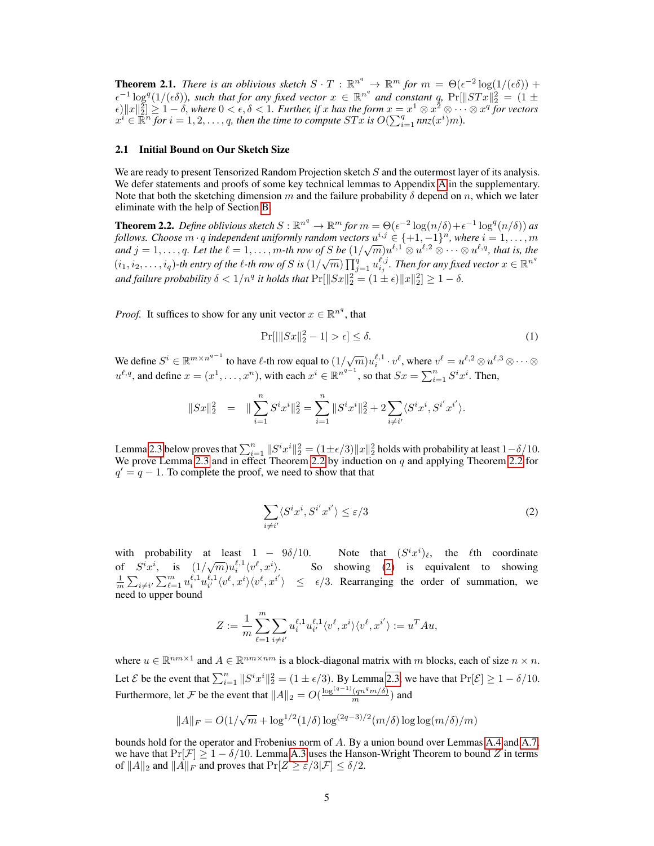<span id="page-4-3"></span>**Theorem 2.1.** *There is an oblivious sketch*  $S \cdot T : \mathbb{R}^{n^q} \to \mathbb{R}^m$  *for*  $m = \Theta(\epsilon^{-2} \log(1/(\epsilon \delta)) +$  $\epsilon^{-1}\log^q(1/(\epsilon\delta))$ , such that for any fixed vector  $x \in \mathbb{R}^{n^q}$  and constant q,  $\Pr[\|STx\|_2^2 = (1 \pm \delta)]$  $\|\epsilon\|_2^2 \geq 1 - \delta$ , where  $0 < \epsilon, \delta < 1$ . Further, if x has the form  $x = x^1 \otimes x^2 \otimes \cdots \otimes x^q$  for vectors  $x^i \in \mathbb{R}^n$  *for*  $i = 1, 2, \ldots, q$ , then the time to compute  $STx$  is  $O(\sum_{i=1}^q nnz(x^i)m)$ .

#### <span id="page-4-0"></span>2.1 Initial Bound on Our Sketch Size

We are ready to present Tensorized Random Projection sketch S and the outermost layer of its analysis. We defer statements and proofs of some key technical lemmas to Appendix [A](#page--1-1) in the supplementary. Note that both the sketching dimension m and the failure probability  $\delta$  depend on n, which we later eliminate with the help of Section [B.](#page--1-2)

<span id="page-4-1"></span>**Theorem 2.2.** Define oblivious sketch  $S : \mathbb{R}^{n^q} \to \mathbb{R}^m$  for  $m = \Theta(\epsilon^{-2} \log(n/\delta) + \epsilon^{-1} \log^q(n/\delta))$  as *follows. Choose*  $m \cdot q$  *independent uniformly random vectors*  $u^{i,j} \in \{+1, -1\}^n$ *, where*  $i = 1, \ldots, m$ *and*  $j = 1, \ldots, q$ . Let the  $\ell = 1, \ldots, m$ -th row of S be  $(1/\sqrt{m})u^{\ell,1} \otimes u^{\ell,2} \otimes \cdots \otimes u^{\ell,q}$ , that is, the  $(i_1,i_2,\ldots,i_q)$ -th entry of the  $\ell$ -th row of  $S$  is  $(1/\sqrt{m})$   $\prod_{j=1}^q u_{i_j}^{\ell,j}$ . Then for any fixed vector  $x\in\mathbb{R}^{n^q}$ and failure probability  $\delta < 1/n^q$  it holds that  $\Pr[\|Sx\|_2^2 = (1 \pm \epsilon) \|x\|_2^2] \geq 1 - \delta$ .

*Proof.* It suffices to show for any unit vector  $x \in \mathbb{R}^{n^q}$ , that

$$
\Pr[|\|Sx\|_2^2 - 1| > \epsilon] \le \delta. \tag{1}
$$

We define  $S^i \in \mathbb{R}^{m \times n^{q-1}}$  to have  $\ell$ -th row equal to  $(1/\sqrt{m})u_i^{\ell,1} \cdot v^{\ell}$ , where  $v^{\ell} = u^{\ell,2} \otimes u^{\ell,3} \otimes \cdots \otimes$  $u^{\ell,q}$ , and define  $x = (x^1, \dots, x^n)$ , with each  $x^i \in \mathbb{R}^{n^{q-1}}$ , so that  $Sx = \sum_{i=1}^n S^i x^i$ . Then,

$$
||Sx||_2^2 = ||\sum_{i=1}^n S^i x^i||_2^2 = \sum_{i=1}^n ||S^i x^i||_2^2 + 2\sum_{i \neq i'} \langle S^i x^i, S^{i'} x^{i'} \rangle.
$$

Lemma [2.3](#page-5-2) below proves that  $\sum_{i=1}^n ||S^i x^i||_2^2 = (1 \pm \epsilon/3) ||x||_2^2$  holds with probability at least  $1-\delta/10$ . We prove Lemma [2.3](#page-5-2) and in effect Theorem [2.2](#page-4-1) by induction on  $q$  and applying Theorem 2.2 for  $q' = q - 1$ . To complete the proof, we need to show that that

<span id="page-4-2"></span>
$$
\sum_{i \neq i'} \langle S^i x^i, S^{i'} x^{i'} \rangle \le \varepsilon / 3 \tag{2}
$$

with probability at least 1 – 9 $\delta/10$ . Note that  $(S^i x^i)_\ell$ , the  $\ell$ th coordinate of  $S^{i}x^{i}$ , is  $(1/\sqrt{m})u_{i}^{\ell,1}\langle v^{\ell},x^{i}\rangle$ . So showing [\(2\)](#page-4-2) is equivalent to showing  $\frac{1}{m} \sum_{i \neq i'} \sum_{\ell=1}^m u_i^{\ell,1} u_{i'}^{\ell,1} \langle v_\ell^{\ell}, x_i^i \rangle \langle v_\ell^{\ell}, x_i^i \rangle \leq \epsilon/3$ . Rearranging the order of summation, we need to upper bound

$$
Z:=\frac{1}{m}\sum_{\ell=1}^m\sum_{i\neq i'}u^{\ell,1}_iu^{\ell,1}_{i'}\langle v^\ell,x^i\rangle\langle v^\ell,x^{i'}\rangle:=u^TAu,
$$

where  $u \in \mathbb{R}^{nm \times 1}$  and  $A \in \mathbb{R}^{nm \times nm}$  is a block-diagonal matrix with m blocks, each of size  $n \times n$ . Let *E* be the event that  $\sum_{i=1}^{n} ||S^i x^i||_2^2 = (1 \pm \epsilon/3)$ . By Lemma [2.3,](#page-5-2) we have that  $\Pr[\mathcal{E}] \ge 1 - \delta/10$ . Furthermore, let F be the event that  $||A||_2 = O(\frac{\log^{(q-1)}(qn^q m/\delta)}{m})$  and

$$
\|A\|_F = O(1/\sqrt{m} + \log^{1/2}(1/\delta)\log^{(2q-3)/2}(m/\delta)\log\log(m/\delta)/m)
$$

bounds hold for the operator and Frobenius norm of A. By a union bound over Lemmas [A.4](#page--1-3) and [A.7,](#page--1-4) we have that  $Pr[\mathcal{F}] \ge 1 - \delta/10$ . Lemma [A.3](#page--1-5) uses the Hanson-Wright Theorem to bound Z in terms of  $||A||_2$  and  $||A||_F$  and proves that  $Pr[Z \ge \varepsilon/3|\mathcal{F}] \le \delta/2$ .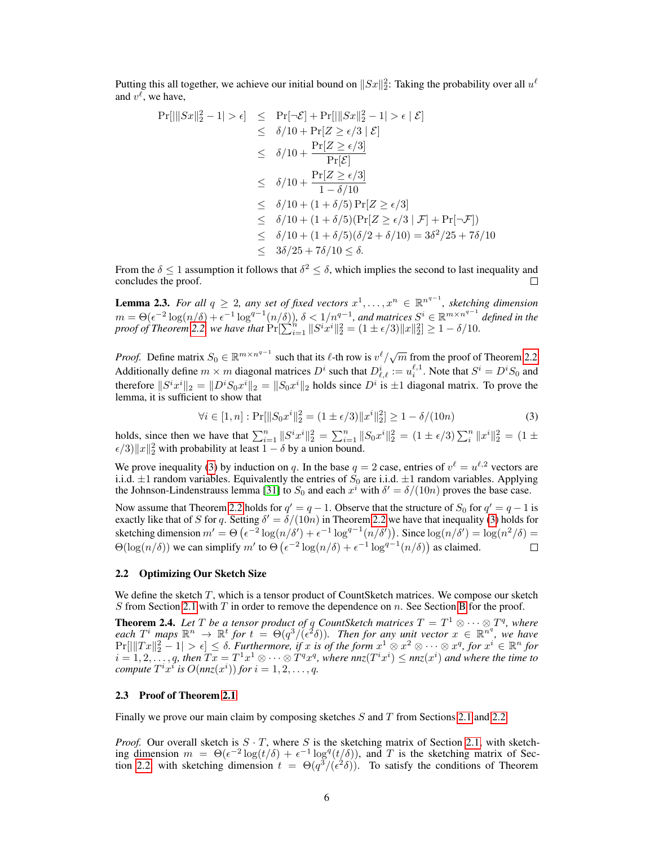Putting this all together, we achieve our initial bound on  $\|Sx\|_2^2$ : Taking the probability over all  $u^\ell$ and  $v^{\ell}$ , we have,

$$
\Pr[|||Sx||_2^2 - 1| > \epsilon] \leq \Pr[\neg \mathcal{E}] + \Pr[|||Sx||_2^2 - 1| > \epsilon | \mathcal{E}]
$$
  
\n
$$
\leq \delta/10 + \Pr[Z \geq \epsilon/3 | \mathcal{E}]
$$
  
\n
$$
\leq \delta/10 + \frac{\Pr[Z \geq \epsilon/3]}{\Pr[\mathcal{E}]}
$$
  
\n
$$
\leq \delta/10 + \frac{\Pr[Z \geq \epsilon/3]}{1 - \delta/10}
$$
  
\n
$$
\leq \delta/10 + (1 + \delta/5) \Pr[Z \geq \epsilon/3 | \mathcal{F}] + \Pr[\neg \mathcal{F}]
$$
  
\n
$$
\leq \delta/10 + (1 + \delta/5) (\Pr[Z \geq \epsilon/3 | \mathcal{F}] + \Pr[\neg \mathcal{F}])
$$
  
\n
$$
\leq \delta/10 + (1 + \delta/5) (\delta/2 + \delta/10) = 3\delta^2/25 + 7\delta/10
$$
  
\n
$$
\leq 3\delta/25 + 7\delta/10 \leq \delta.
$$

From the  $\delta \leq 1$  assumption it follows that  $\delta^2 \leq \delta$ , which implies the second to last inequality and concludes the proof.

<span id="page-5-2"></span>**Lemma 2.3.** For all  $q \geq 2$ , any set of fixed vectors  $x^1, \ldots, x^n \in \mathbb{R}^{n^{q-1}}$ , sketching dimension  $m = \Theta(\epsilon^{-2} \log(n/\delta) + \epsilon^{-1} \log^{q-1}(n/\delta))$ ,  $\delta < 1/n^{q-1}$ , and matrices  $S^i \in \mathbb{R}^{m \times n^{q-1}}$  defined in the  $p$ roof of Theorem [2.2,](#page-4-1) we have that  $Pr[\sum_{i=1}^{n} \|S^i x^i\|_2^2 = (1 \pm \epsilon/3) \|x\|_2^2] \ge 1 - \delta/10$ .

*Proof.* Define matrix  $S_0 \in \mathbb{R}^{m \times n^{q-1}}$  such that its  $\ell$ -th row is  $v^{\ell}/\sqrt{m}$  from the proof of Theorem [2.2.](#page-4-1) Additionally define  $m \times m$  diagonal matrices  $D^i$  such that  $D^i_{\ell,\ell} := u^{ \ell,1}_i$ . Note that  $S^i = D^i S_0$  and therefore  $||S^i x^i||_2 = ||D^i S_0 x^i||_2 = ||S_0 x^i||_2$  holds since  $D^i$  is  $\pm 1$  diagonal matrix. To prove the lemma, it is sufficient to show that

<span id="page-5-3"></span>
$$
\forall i \in [1, n] : \Pr[||S_0 x^i||_2^2 = (1 \pm \epsilon/3) ||x^i||_2^2] \ge 1 - \delta/(10n)
$$
 (3)

holds, since then we have that  $\sum_{i=1}^{n} ||S^i x^i||_2^2 = \sum_{i=1}^{n} ||S_0 x^i||_2^2 = (1 \pm \epsilon/3) \sum_{i=1}^{n} ||x^i||_2^2 = (1 \pm \epsilon/3) \sum_{i=1}^{n} ||x^i||_2^2 = (1 \pm \epsilon/3) \sum_{i=1}^{n} ||x^i||_2^2 = (1 \pm \epsilon/3) \sum_{i=1}^{n} ||x^i||_2^2 = (1 \pm \epsilon/3) \sum_{i=1}^{n} ||x^i||_2^$  $\epsilon/3$ ) $||x||_2^2$  with probability at least  $1 - \delta$  by a union bound.

We prove inequality [\(3\)](#page-5-3) by induction on q. In the base  $q = 2$  case, entries of  $v^{\ell} = u^{\ell,2}$  vectors are i.i.d.  $\pm 1$  random variables. Equivalently the entries of  $S_0$  are i.i.d.  $\pm 1$  random variables. Applying the Johnson-Lindenstrauss lemma [\[31\]](#page-10-11) to  $S_0$  and each  $x^i$  with  $\delta' = \delta/(10n)$  proves the base case.

Now assume that Theorem [2.2](#page-4-1) holds for  $q' = q - 1$ . Observe that the structure of  $S_0$  for  $q' = q - 1$  is exactly like that of S for q. Setting  $\delta' = \delta/(10n)$  in Theorem [2.2](#page-4-1) we have that inequality [\(3\)](#page-5-3) holds for sketching dimension  $m' = \Theta\left(\epsilon^{-2}\log(n/\delta') + \epsilon^{-1}\log^{q-1}(n/\delta')\right)$ . Since  $\log(n/\delta') = \log(n^2/\delta) =$  $\Theta(\log(n/\delta))$  we can simplify m' to  $\Theta(\epsilon^{-2} \log(n/\delta) + \epsilon^{-1} \log^{q-1}(n/\delta))$  as claimed.  $\Box$ 

#### <span id="page-5-0"></span>2.2 Optimizing Our Sketch Size

We define the sketch  $T$ , which is a tensor product of CountSketch matrices. We compose our sketch S from Section [2.1](#page-4-0) with T in order to remove the dependence on n. See Section [B](#page--1-2) for the proof.

<span id="page-5-4"></span>**Theorem 2.4.** Let T be a tensor product of q CountSketch matrices  $T = T^1 \otimes \cdots \otimes T^q$ , where each  $T^i$  maps  $\mathbb{R}^n$   $\to$   $\mathbb{R}^t$  for  $t = \Theta(q^3/(\epsilon^2\delta))$ . Then for any unit vector  $x \in \mathbb{R}^{n^q}$ , we have  $Pr[||Tx||_2^2 - 1| > \epsilon] \leq \delta$ . *Furthermore, if* x *is of the form*  $x^1 \otimes x^2 \otimes \cdots \otimes x^q$ , for  $x^i \in \mathbb{R}^n$  for  $i = 1, 2, \ldots, q$ , then  $Tx = T^1x^1 \otimes \cdots \otimes T^qx^q$ , where  $nnz(T^ix^i) \leq nnz(x^i)$  and where the time to *compute*  $T^i x^i$  *is*  $O(nnz(x^i))$  *for*  $i = 1, 2, ..., q$ *.* 

#### <span id="page-5-1"></span>2.3 Proof of Theorem [2.1](#page-4-3)

Finally we prove our main claim by composing sketches  $S$  and  $T$  from Sections [2.1](#page-4-0) and [2.2.](#page-5-0)

*Proof.* Our overall sketch is  $S \cdot T$ , where S is the sketching matrix of Section [2.1,](#page-4-0) with sketching dimension  $m = \Theta(\epsilon^{-2} \log(t/\delta) + \epsilon^{-1} \log^q(t/\delta))$ , and T is the sketching matrix of Sec-tion [2.2,](#page-5-0) with sketching dimension  $t = \Theta(q^3/(\epsilon^2 \delta))$ . To satisfy the conditions of Theorem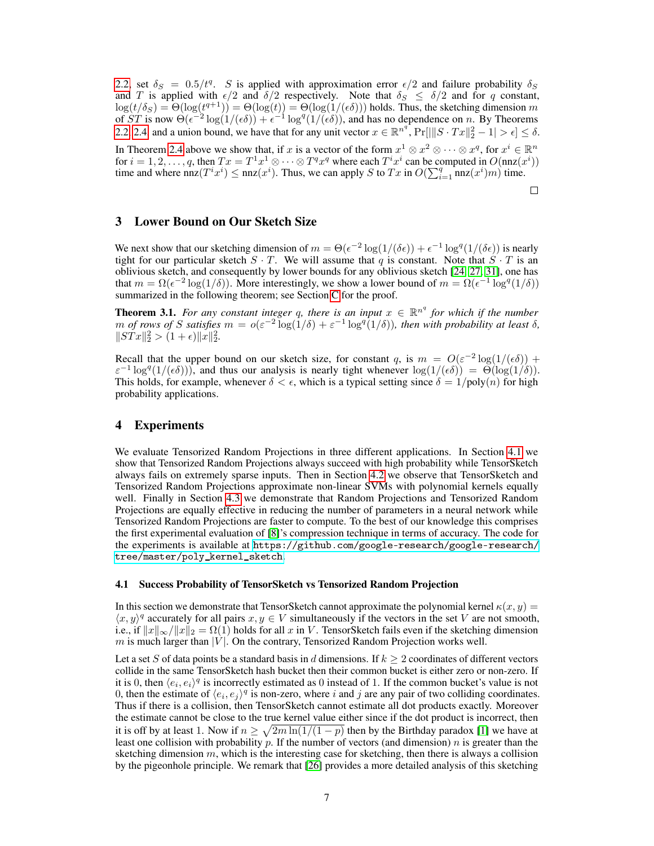[2.2,](#page-4-1) set  $\delta_S = 0.5/t^q$ . S is applied with approximation error  $\epsilon/2$  and failure probability  $\delta_S$ and T is applied with  $\epsilon/2$  and  $\delta/2$  respectively. Note that  $\delta_S \leq \delta/2$  and for q constant,  $\log(t/\delta_S) = \Theta(\log(t^{q+1})) = \Theta(\log(t)) = \Theta(\log(1/(\epsilon\delta)))$  holds. Thus, the sketching dimension m of  $ST$  is now  $\Theta(\epsilon^{-2} \log(1/(\epsilon \delta)) + \epsilon^{-1} \log^q(1/(\epsilon \delta))$ , and has no dependence on n. By Theorems [2.2,](#page-4-1) [2.4,](#page-5-4) and a union bound, we have that for any unit vector  $x \in \mathbb{R}^{n^q}$ ,  $Pr[|||S \cdot Tx||_2^2 - 1| > \epsilon] \le \delta$ .

In Theorem [2.4](#page-5-4) above we show that, if x is a vector of the form  $x^1 \otimes x^2 \otimes \cdots \otimes x^q$ , for  $x^i \in \mathbb{R}^n$ for  $i = 1, 2, ..., q$ , then  $Tx = T^1x^1 \otimes \cdots \otimes T^qx^q$  where each  $T^ix^i$  can be computed in  $O(\text{nnz}(x^i))$ time and where  $nnz(T^ix^i) \leq nnz(x^i)$ . Thus, we can apply S to Tx in  $O(\sum_{i=1}^q nnz(x^i)m)$  time.

 $\Box$ 

## 3 Lower Bound on Our Sketch Size

We next show that our sketching dimension of  $m = \Theta(\epsilon^{-2} \log(1/(\delta \epsilon)) + \epsilon^{-1} \log^q(1/(\delta \epsilon))$  is nearly tight for our particular sketch  $S \cdot T$ . We will assume that q is constant. Note that  $S \cdot T$  is an oblivious sketch, and consequently by lower bounds for any oblivious sketch [\[24,](#page-10-9) [27,](#page-10-10) [31\]](#page-10-11), one has that  $m = \Omega(\epsilon^{-2} \log(1/\delta))$ . More interestingly, we show a lower bound of  $m = \Omega(\epsilon^{-1} \log^q(1/\delta))$ summarized in the following theorem; see Section [C](#page--1-6) for the proof.

**Theorem 3.1.** For any constant integer q, there is an input  $x \in \mathbb{R}^{n^q}$  for which if the number *m* of rows of S satisfies  $m = o(\varepsilon^{-2} \log(1/\delta) + \varepsilon^{-1} \log^q(1/\delta))$ , then with probability at least  $\delta$ ,  $\|STx\|_2^2 > (1+\epsilon)\|x\|_2^2.$ 

Recall that the upper bound on our sketch size, for constant q, is  $m = O(\varepsilon^{-2} \log(1/(\epsilon \delta)) +$  $\varepsilon^{-1} \log^q(1/(\epsilon \delta))$ , and thus our analysis is nearly tight whenever  $\log(1/(\epsilon \delta)) = \Theta(\log(1/\delta)).$ This holds, for example, whenever  $\delta < \epsilon$ , which is a typical setting since  $\delta = 1/\text{poly}(n)$  for high probability applications.

## 4 Experiments

We evaluate Tensorized Random Projections in three different applications. In Section [4.1](#page-6-0) we show that Tensorized Random Projections always succeed with high probability while TensorSketch always fails on extremely sparse inputs. Then in Section [4.2](#page-7-0) we observe that TensorSketch and Tensorized Random Projections approximate non-linear SVMs with polynomial kernels equally well. Finally in Section [4.3](#page-7-1) we demonstrate that Random Projections and Tensorized Random Projections are equally effective in reducing the number of parameters in a neural network while Tensorized Random Projections are faster to compute. To the best of our knowledge this comprises the first experimental evaluation of [\[8\]](#page-9-8)'s compression technique in terms of accuracy. The code for the experiments is available at [https://github.com/google-research/google-research/](https://github.com/google-research/google-research/tree/master/poly_kernel_sketch) [tree/master/poly\\_kernel\\_sketch](https://github.com/google-research/google-research/tree/master/poly_kernel_sketch).

#### <span id="page-6-0"></span>4.1 Success Probability of TensorSketch vs Tensorized Random Projection

In this section we demonstrate that TensorSketch cannot approximate the polynomial kernel  $\kappa(x, y)$  =  $\langle x, y \rangle^q$  accurately for all pairs  $x, y \in V$  simultaneously if the vectors in the set V are not smooth, i.e., if  $||x||_{\infty}/||x||_2 = \Omega(1)$  holds for all x in V. TensorSketch fails even if the sketching dimension  $m$  is much larger than  $|V|$ . On the contrary, Tensorized Random Projection works well.

Let a set S of data points be a standard basis in d dimensions. If  $k > 2$  coordinates of different vectors collide in the same TensorSketch hash bucket then their common bucket is either zero or non-zero. If it is 0, then  $\langle e_i, e_i \rangle^q$  is incorrectly estimated as 0 instead of 1. If the common bucket's value is not 0, then the estimate of  $\langle e_i, e_j \rangle^q$  is non-zero, where i and j are any pair of two colliding coordinates. Thus if there is a collision, then TensorSketch cannot estimate all dot products exactly. Moreover the estimate cannot be close to the true kernel value either since if the dot product is incorrect, then it is off by at least 1. Now if  $n \geq \sqrt{2m \ln(1/(1-p)}$  then by the Birthday paradox [\[1\]](#page-9-9) we have at least one collision with probability  $p$ . If the number of vectors (and dimension) n is greater than the sketching dimension  $m$ , which is the interesting case for sketching, then there is always a collision by the pigeonhole principle. We remark that [\[26\]](#page-10-15) provides a more detailed analysis of this sketching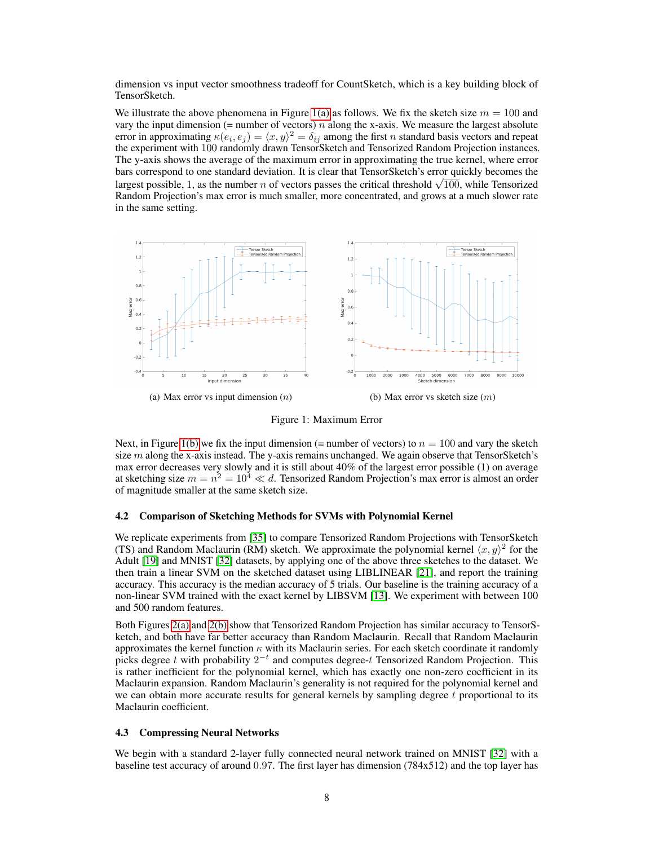dimension vs input vector smoothness tradeoff for CountSketch, which is a key building block of TensorSketch.

We illustrate the above phenomena in Figure [1\(a\)](#page-7-2) as follows. We fix the sketch size  $m = 100$  and vary the input dimension (= number of vectors)  $n$  along the x-axis. We measure the largest absolute error in approximating  $\kappa(e_i, e_j) = \langle x, y \rangle^2 = \delta_{ij}$  among the first n standard basis vectors and repeat the experiment with 100 randomly drawn TensorSketch and Tensorized Random Projection instances. The y-axis shows the average of the maximum error in approximating the true kernel, where error bars correspond to one standard deviation. It is clear that TensorSketch's error quickly becomes the bars correspond to one standard deviation. It is clear that TensorSketch s error quickly becomes the largest possible, 1, as the number n of vectors passes the critical threshold  $\sqrt{100}$ , while Tensorized Random Projection's max error is much smaller, more concentrated, and grows at a much slower rate in the same setting.

<span id="page-7-2"></span>

<span id="page-7-3"></span>Figure 1: Maximum Error

Next, in Figure [1\(b\)](#page-7-3) we fix the input dimension (= number of vectors) to  $n = 100$  and vary the sketch size  $m$  along the x-axis instead. The y-axis remains unchanged. We again observe that TensorSketch's max error decreases very slowly and it is still about 40% of the largest error possible (1) on average at sketching size  $m = n^2 = 10^4 \ll d$ . Tensorized Random Projection's max error is almost an order of magnitude smaller at the same sketch size.

#### <span id="page-7-0"></span>4.2 Comparison of Sketching Methods for SVMs with Polynomial Kernel

We replicate experiments from [\[35\]](#page-11-1) to compare Tensorized Random Projections with TensorSketch (TS) and Random Maclaurin (RM) sketch. We approximate the polynomial kernel  $\langle x, y \rangle^2$  for the Adult [\[19\]](#page-10-16) and MNIST [\[32\]](#page-10-17) datasets, by applying one of the above three sketches to the dataset. We then train a linear SVM on the sketched dataset using LIBLINEAR [\[21\]](#page-10-18), and report the training accuracy. This accuracy is the median accuracy of 5 trials. Our baseline is the training accuracy of a non-linear SVM trained with the exact kernel by LIBSVM [\[13\]](#page-9-10). We experiment with between 100 and 500 random features.

Both Figures [2\(a\)](#page-8-0) and [2\(b\)](#page-8-1) show that Tensorized Random Projection has similar accuracy to TensorSketch, and both have far better accuracy than Random Maclaurin. Recall that Random Maclaurin approximates the kernel function  $\kappa$  with its Maclaurin series. For each sketch coordinate it randomly picks degree t with probability  $2^{-t}$  and computes degree-t Tensorized Random Projection. This is rather inefficient for the polynomial kernel, which has exactly one non-zero coefficient in its Maclaurin expansion. Random Maclaurin's generality is not required for the polynomial kernel and we can obtain more accurate results for general kernels by sampling degree t proportional to its Maclaurin coefficient.

#### <span id="page-7-1"></span>4.3 Compressing Neural Networks

We begin with a standard 2-layer fully connected neural network trained on MNIST [\[32\]](#page-10-17) with a baseline test accuracy of around 0.97. The first layer has dimension (784x512) and the top layer has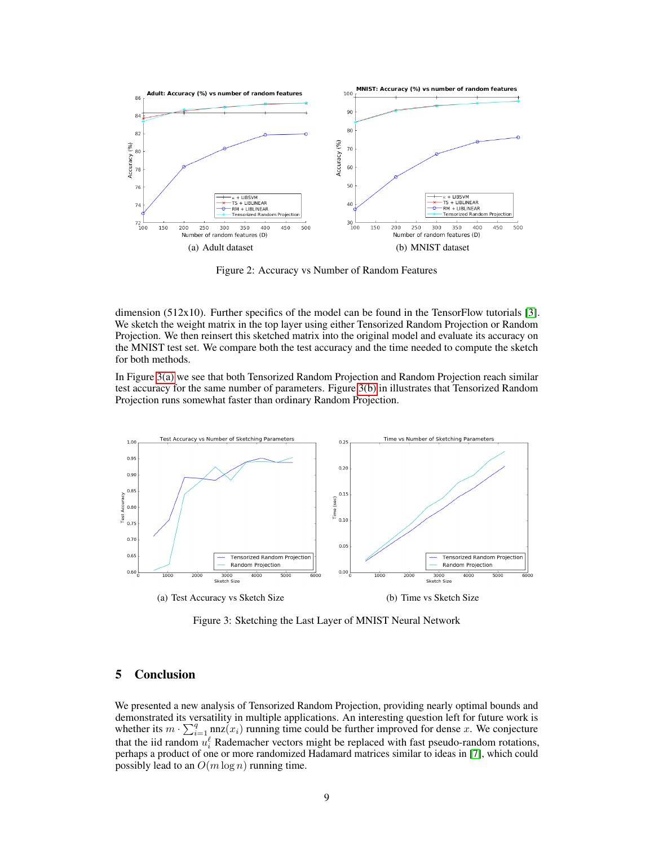<span id="page-8-0"></span>

<span id="page-8-1"></span>Figure 2: Accuracy vs Number of Random Features

dimension (512x10). Further specifics of the model can be found in the TensorFlow tutorials [\[3\]](#page-9-11). We sketch the weight matrix in the top layer using either Tensorized Random Projection or Random Projection. We then reinsert this sketched matrix into the original model and evaluate its accuracy on the MNIST test set. We compare both the test accuracy and the time needed to compute the sketch for both methods.

In Figure [3\(a\)](#page-8-2) we see that both Tensorized Random Projection and Random Projection reach similar test accuracy for the same number of parameters. Figure [3\(b\)](#page-8-3) in illustrates that Tensorized Random Projection runs somewhat faster than ordinary Random Projection.

<span id="page-8-2"></span>

<span id="page-8-3"></span>Figure 3: Sketching the Last Layer of MNIST Neural Network

### 5 Conclusion

We presented a new analysis of Tensorized Random Projection, providing nearly optimal bounds and demonstrated its versatility in multiple applications. An interesting question left for future work is whether its  $m \cdot \sum_{i=1}^{q} \text{nnz}(x_i)$  running time could be further improved for dense x. We conjecture that the iid random  $u_i^{\ell}$  Rademacher vectors might be replaced with fast pseudo-random rotations, perhaps a product of one or more randomized Hadamard matrices similar to ideas in [\[7\]](#page-9-12), which could possibly lead to an  $O(m \log n)$  running time.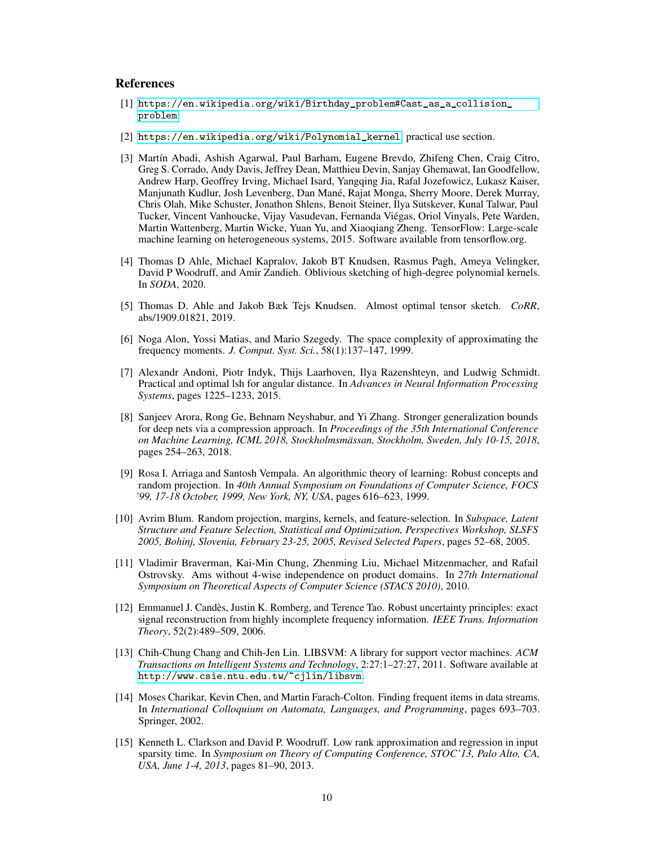## **References**

- <span id="page-9-9"></span>[1] [https://en.wikipedia.org/wiki/Birthday\\_problem#Cast\\_as\\_a\\_collision\\_](https://en.wikipedia.org/wiki/Birthday_problem#Cast_as_a_collision_problem) [problem](https://en.wikipedia.org/wiki/Birthday_problem#Cast_as_a_collision_problem).
- <span id="page-9-3"></span>[2] [https://en.wikipedia.org/wiki/Polynomial\\_kernel](https://en.wikipedia.org/wiki/Polynomial_kernel), practical use section.
- <span id="page-9-11"></span>[3] Martín Abadi, Ashish Agarwal, Paul Barham, Eugene Brevdo, Zhifeng Chen, Craig Citro, Greg S. Corrado, Andy Davis, Jeffrey Dean, Matthieu Devin, Sanjay Ghemawat, Ian Goodfellow, Andrew Harp, Geoffrey Irving, Michael Isard, Yangqing Jia, Rafal Jozefowicz, Lukasz Kaiser, Manjunath Kudlur, Josh Levenberg, Dan Mané, Rajat Monga, Sherry Moore, Derek Murray, Chris Olah, Mike Schuster, Jonathon Shlens, Benoit Steiner, Ilya Sutskever, Kunal Talwar, Paul Tucker, Vincent Vanhoucke, Vijay Vasudevan, Fernanda Viégas, Oriol Vinyals, Pete Warden, Martin Wattenberg, Martin Wicke, Yuan Yu, and Xiaoqiang Zheng. TensorFlow: Large-scale machine learning on heterogeneous systems, 2015. Software available from tensorflow.org.
- <span id="page-9-6"></span>[4] Thomas D Ahle, Michael Kapralov, Jakob BT Knudsen, Rasmus Pagh, Ameya Velingker, David P Woodruff, and Amir Zandieh. Oblivious sketching of high-degree polynomial kernels. In *SODA*, 2020.
- <span id="page-9-7"></span>[5] Thomas D. Ahle and Jakob Bæk Tejs Knudsen. Almost optimal tensor sketch. *CoRR*, abs/1909.01821, 2019.
- [6] Noga Alon, Yossi Matias, and Mario Szegedy. The space complexity of approximating the frequency moments. *J. Comput. Syst. Sci.*, 58(1):137–147, 1999.
- <span id="page-9-12"></span>[7] Alexandr Andoni, Piotr Indyk, Thijs Laarhoven, Ilya Razenshteyn, and Ludwig Schmidt. Practical and optimal lsh for angular distance. In *Advances in Neural Information Processing Systems*, pages 1225–1233, 2015.
- <span id="page-9-8"></span>[8] Sanjeev Arora, Rong Ge, Behnam Neyshabur, and Yi Zhang. Stronger generalization bounds for deep nets via a compression approach. In *Proceedings of the 35th International Conference on Machine Learning, ICML 2018, Stockholmsmässan, Stockholm, Sweden, July 10-15, 2018*, pages 254–263, 2018.
- <span id="page-9-0"></span>[9] Rosa I. Arriaga and Santosh Vempala. An algorithmic theory of learning: Robust concepts and random projection. In *40th Annual Symposium on Foundations of Computer Science, FOCS '99, 17-18 October, 1999, New York, NY, USA*, pages 616–623, 1999.
- <span id="page-9-1"></span>[10] Avrim Blum. Random projection, margins, kernels, and feature-selection. In *Subspace, Latent Structure and Feature Selection, Statistical and Optimization, Perspectives Workshop, SLSFS 2005, Bohinj, Slovenia, February 23-25, 2005, Revised Selected Papers*, pages 52–68, 2005.
- <span id="page-9-5"></span>[11] Vladimir Braverman, Kai-Min Chung, Zhenming Liu, Michael Mitzenmacher, and Rafail Ostrovsky. Ams without 4-wise independence on product domains. In *27th International Symposium on Theoretical Aspects of Computer Science (STACS 2010)*, 2010.
- <span id="page-9-2"></span>[12] Emmanuel J. Candès, Justin K. Romberg, and Terence Tao. Robust uncertainty principles: exact signal reconstruction from highly incomplete frequency information. *IEEE Trans. Information Theory*, 52(2):489–509, 2006.
- <span id="page-9-10"></span>[13] Chih-Chung Chang and Chih-Jen Lin. LIBSVM: A library for support vector machines. *ACM Transactions on Intelligent Systems and Technology*, 2:27:1–27:27, 2011. Software available at <http://www.csie.ntu.edu.tw/~cjlin/libsvm>.
- <span id="page-9-4"></span>[14] Moses Charikar, Kevin Chen, and Martin Farach-Colton. Finding frequent items in data streams. In *International Colloquium on Automata, Languages, and Programming*, pages 693–703. Springer, 2002.
- [15] Kenneth L. Clarkson and David P. Woodruff. Low rank approximation and regression in input sparsity time. In *Symposium on Theory of Computing Conference, STOC'13, Palo Alto, CA, USA, June 1-4, 2013*, pages 81–90, 2013.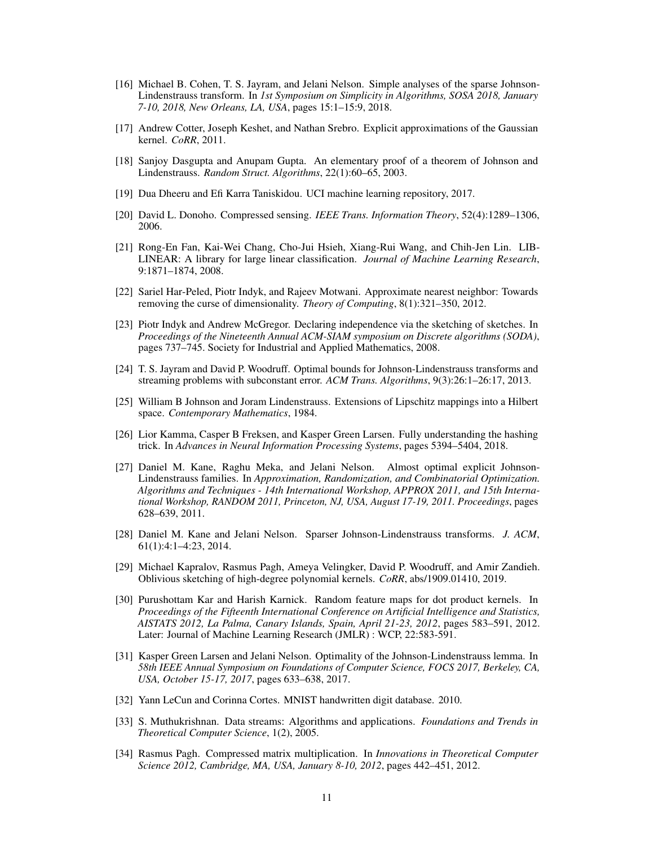- <span id="page-10-8"></span>[16] Michael B. Cohen, T. S. Jayram, and Jelani Nelson. Simple analyses of the sparse Johnson-Lindenstrauss transform. In *1st Symposium on Simplicity in Algorithms, SOSA 2018, January 7-10, 2018, New Orleans, LA, USA*, pages 15:1–15:9, 2018.
- <span id="page-10-3"></span>[17] Andrew Cotter, Joseph Keshet, and Nathan Srebro. Explicit approximations of the Gaussian kernel. *CoRR*, 2011.
- <span id="page-10-6"></span>[18] Sanjoy Dasgupta and Anupam Gupta. An elementary proof of a theorem of Johnson and Lindenstrauss. *Random Struct. Algorithms*, 22(1):60–65, 2003.
- <span id="page-10-16"></span>[19] Dua Dheeru and Efi Karra Taniskidou. UCI machine learning repository, 2017.
- <span id="page-10-2"></span>[20] David L. Donoho. Compressed sensing. *IEEE Trans. Information Theory*, 52(4):1289–1306, 2006.
- <span id="page-10-18"></span>[21] Rong-En Fan, Kai-Wei Chang, Cho-Jui Hsieh, Xiang-Rui Wang, and Chih-Jen Lin. LIB-LINEAR: A library for large linear classification. *Journal of Machine Learning Research*, 9:1871–1874, 2008.
- <span id="page-10-1"></span>[22] Sariel Har-Peled, Piotr Indyk, and Rajeev Motwani. Approximate nearest neighbor: Towards removing the curse of dimensionality. *Theory of Computing*, 8(1):321–350, 2012.
- <span id="page-10-13"></span>[23] Piotr Indyk and Andrew McGregor. Declaring independence via the sketching of sketches. In *Proceedings of the Nineteenth Annual ACM-SIAM symposium on Discrete algorithms (SODA)*, pages 737–745. Society for Industrial and Applied Mathematics, 2008.
- <span id="page-10-9"></span>[24] T. S. Jayram and David P. Woodruff. Optimal bounds for Johnson-Lindenstrauss transforms and streaming problems with subconstant error. *ACM Trans. Algorithms*, 9(3):26:1–26:17, 2013.
- <span id="page-10-5"></span>[25] William B Johnson and Joram Lindenstrauss. Extensions of Lipschitz mappings into a Hilbert space. *Contemporary Mathematics*, 1984.
- <span id="page-10-15"></span>[26] Lior Kamma, Casper B Freksen, and Kasper Green Larsen. Fully understanding the hashing trick. In *Advances in Neural Information Processing Systems*, pages 5394–5404, 2018.
- <span id="page-10-10"></span>[27] Daniel M. Kane, Raghu Meka, and Jelani Nelson. Almost optimal explicit Johnson-Lindenstrauss families. In *Approximation, Randomization, and Combinatorial Optimization. Algorithms and Techniques - 14th International Workshop, APPROX 2011, and 15th International Workshop, RANDOM 2011, Princeton, NJ, USA, August 17-19, 2011. Proceedings*, pages 628–639, 2011.
- <span id="page-10-7"></span>[28] Daniel M. Kane and Jelani Nelson. Sparser Johnson-Lindenstrauss transforms. *J. ACM*, 61(1):4:1–4:23, 2014.
- <span id="page-10-14"></span>[29] Michael Kapralov, Rasmus Pagh, Ameya Velingker, David P. Woodruff, and Amir Zandieh. Oblivious sketching of high-degree polynomial kernels. *CoRR*, abs/1909.01410, 2019.
- <span id="page-10-4"></span>[30] Purushottam Kar and Harish Karnick. Random feature maps for dot product kernels. In *Proceedings of the Fifteenth International Conference on Artificial Intelligence and Statistics, AISTATS 2012, La Palma, Canary Islands, Spain, April 21-23, 2012*, pages 583–591, 2012. Later: Journal of Machine Learning Research (JMLR) : WCP, 22:583-591.
- <span id="page-10-11"></span>[31] Kasper Green Larsen and Jelani Nelson. Optimality of the Johnson-Lindenstrauss lemma. In *58th IEEE Annual Symposium on Foundations of Computer Science, FOCS 2017, Berkeley, CA, USA, October 15-17, 2017*, pages 633–638, 2017.
- <span id="page-10-17"></span>[32] Yann LeCun and Corinna Cortes. MNIST handwritten digit database. 2010.
- <span id="page-10-0"></span>[33] S. Muthukrishnan. Data streams: Algorithms and applications. *Foundations and Trends in Theoretical Computer Science*, 1(2), 2005.
- <span id="page-10-12"></span>[34] Rasmus Pagh. Compressed matrix multiplication. In *Innovations in Theoretical Computer Science 2012, Cambridge, MA, USA, January 8-10, 2012*, pages 442–451, 2012.